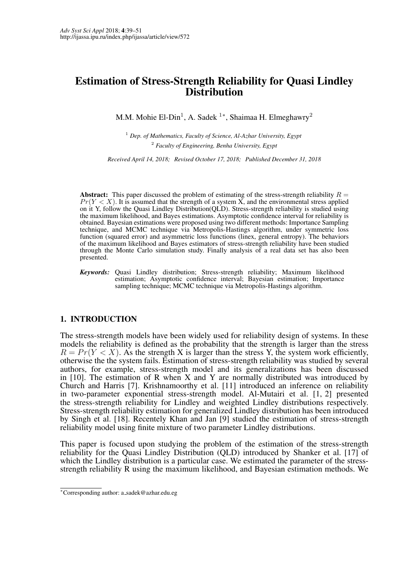# Estimation of Stress-Strength Reliability for Quasi Lindley **Distribution**

M.M. Mohie El-Din<sup>1</sup>, A. Sadek <sup>1</sup>\*, Shaimaa H. Elmeghawry<sup>2</sup>

<sup>1</sup> *Dep. of Mathematics, Faculty of Science, Al-Azhar University, Egypt* <sup>2</sup> *Faculty of Engineering, Benha University, Egypt*

*Received April 14, 2018; Revised October 17, 2018; Published December 31, 2018*

Abstract: This paper discussed the problem of estimating of the stress-strength reliability  $R =$  $Pr(Y < X)$ . It is assumed that the strength of a system X, and the environmental stress applied on it Y, follow the Quasi Lindley Distribution(QLD). Stress-strength reliability is studied using the maximum likelihood, and Bayes estimations. Asymptotic confidence interval for reliability is obtained. Bayesian estimations were proposed using two different methods: Importance Sampling technique, and MCMC technique via Metropolis-Hastings algorithm, under symmetric loss function (squared error) and asymmetric loss functions (linex, general entropy). The behaviors of the maximum likelihood and Bayes estimators of stress-strength reliability have been studied through the Monte Carlo simulation study. Finally analysis of a real data set has also been presented.

*Keywords:* Quasi Lindley distribution; Stress-strength reliability; Maximum likelihood estimation; Asymptotic confidence interval; Bayesian estimation; Importance sampling technique; MCMC technique via Metropolis-Hastings algorithm.

## 1. INTRODUCTION

The stress-strength models have been widely used for reliability design of systems. In these models the reliability is defined as the probability that the strength is larger than the stress  $R = Pr(Y < X)$ . As the strength X is larger than the stress Y, the system work efficiently, otherwise the the system fails. Estimation of stress-strength reliability was studied by several authors, for example, stress-strength model and its generalizations has been discussed in [10]. The estimation of R when X and Y are normally distributed was introduced by Church and Harris [7]. Krishnamoorthy et al. [11] introduced an inference on reliability in two-parameter exponential stress-strength model. Al-Mutairi et al. [1, 2] presented the stress-strength reliability for Lindley and weighted Lindley distributions respectively. Stress-strength reliability estimation for generalized Lindley distribution has been introduced by Singh et al. [18]. Recentely Khan and Jan [9] studied the estimation of stress-strength reliability model using finite mixture of two parameter Lindley distributions.

This paper is focused upon studying the problem of the estimation of the stress-strength reliability for the Quasi Lindley Distribution (QLD) introduced by Shanker et al. [17] of which the Lindley distribution is a particular case. We estimated the parameter of the stressstrength reliability R using the maximum likelihood, and Bayesian estimation methods. We

<sup>∗</sup>Corresponding author: a sadek@azhar.edu.eg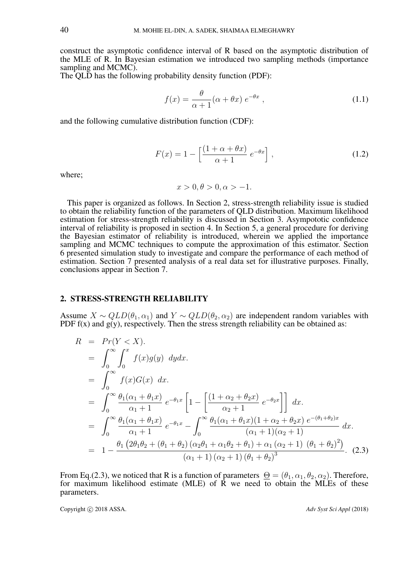construct the asymptotic confidence interval of R based on the asymptotic distribution of the MLE of R. In Bayesian estimation we introduced two sampling methods (importance sampling and MCMC).

The OLD has the following probability density function (PDF):

$$
f(x) = \frac{\theta}{\alpha + 1} (\alpha + \theta x) e^{-\theta x}, \qquad (1.1)
$$

and the following cumulative distribution function (CDF):

$$
F(x) = 1 - \left[\frac{(1 + \alpha + \theta x)}{\alpha + 1} e^{-\theta x}\right],
$$
\n(1.2)

where;

$$
x > 0, \theta > 0, \alpha > -1.
$$

This paper is organized as follows. In Section 2, stress-strength reliability issue is studied to obtain the reliability function of the parameters of QLD distribution. Maximum likelihood estimation for stress-strength reliability is discussed in Section 3. Asympototic confidence interval of reliability is proposed in section 4. In Section 5, a general procedure for deriving the Bayesian estimator of reliability is introduced, wherein we applied the importance sampling and MCMC techniques to compute the approximation of this estimator. Section 6 presented simulation study to investigate and compare the performance of each method of estimation. Section 7 presented analysis of a real data set for illustrative purposes. Finally, conclusions appear in Section 7.

#### 2. STRESS-STRENGTH RELIABILITY

Assume  $X \sim QLD(\theta_1, \alpha_1)$  and  $Y \sim QLD(\theta_2, \alpha_2)$  are independent random variables with PDF  $f(x)$  and  $g(y)$ , respectively. Then the stress strength reliability can be obtained as:

$$
R = Pr(Y < X).
$$
  
\n
$$
= \int_0^\infty \int_0^x f(x)g(y) \, dy dx.
$$
  
\n
$$
= \int_0^\infty f(x)G(x) \, dx.
$$
  
\n
$$
= \int_0^\infty \frac{\theta_1(\alpha_1 + \theta_1 x)}{\alpha_1 + 1} e^{-\theta_1 x} \left[ 1 - \left[ \frac{(1 + \alpha_2 + \theta_2 x)}{\alpha_2 + 1} e^{-\theta_2 x} \right] \right] dx.
$$
  
\n
$$
= \int_0^\infty \frac{\theta_1(\alpha_1 + \theta_1 x)}{\alpha_1 + 1} e^{-\theta_1 x} - \int_0^\infty \frac{\theta_1(\alpha_1 + \theta_1 x)(1 + \alpha_2 + \theta_2 x)}{(\alpha_1 + 1)(\alpha_2 + 1)} e^{-(\theta_1 + \theta_2)x}
$$
  
\n
$$
= 1 - \frac{\theta_1 (2\theta_1 \theta_2 + (\theta_1 + \theta_2) (\alpha_2 \theta_1 + \alpha_1 \theta_2 + \theta_1) + \alpha_1 (\alpha_2 + 1) (\theta_1 + \theta_2)^2)}{(\alpha_1 + 1)(\alpha_2 + 1)(\theta_1 + \theta_2)^3}.
$$
 (2.3)

From Eq.(2.3), we noticed that R is a function of parameters  $\Theta = (\theta_1, \alpha_1, \theta_2, \alpha_2)$ . Therefore, for maximum likelihood estimate (MLE) of  $\overline{R}$  we need to obtain the MLEs of these parameters.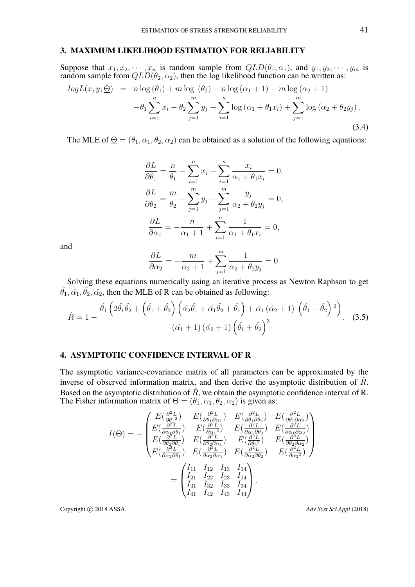## 3. MAXIMUM LIKELIHOOD ESTIMATION FOR RELIABILITY

Suppose that  $x_1, x_2, \dots, x_n$  is random sample from  $QLD(\theta_1, \alpha_1)$ , and  $y_1, y_2, \dots, y_m$  is random sample from  $QLD(\theta_2, \alpha_2)$ , then the log likelihood function can be written as:

$$
log L(x, y; \underline{\Theta}) = n log (\theta_1) + m log (\theta_2) - n log (\alpha_1 + 1) - m log (\alpha_2 + 1)
$$
  

$$
- \theta_1 \sum_{i=1}^{n} x_i - \theta_2 \sum_{j=1}^{m} y_j + \sum_{i=1}^{n} log (\alpha_1 + \theta_1 x_i) + \sum_{j=1}^{m} log (\alpha_2 + \theta_2 y_j).
$$
(3.4)

The MLE of  $\Theta = (\theta_1, \alpha_1, \theta_2, \alpha_2)$  can be obtained as a solution of the following equations:

$$
\frac{\partial L}{\partial \theta_1} = \frac{n}{\theta_1} - \sum_{i=1}^n x_i + \sum_{i=1}^n \frac{x_i}{\alpha_1 + \theta_1 x_i} = 0,
$$
  

$$
\frac{\partial L}{\partial \theta_2} = \frac{m}{\theta_2} - \sum_{j=1}^m y_j + \sum_{j=1}^m \frac{y_j}{\alpha_2 + \theta_2 y_j} = 0,
$$
  

$$
\frac{\partial L}{\partial \alpha_1} = -\frac{n}{\alpha_1 + 1} + \sum_{i=1}^n \frac{1}{\alpha_1 + \theta_1 x_i} = 0,
$$

and

$$
\frac{\partial L}{\partial \alpha_2} = -\frac{m}{\alpha_2 + 1} + \sum_{j=1}^m \frac{1}{\alpha_2 + \theta_2 y_j} = 0.
$$

Solving these equations numerically using an iterative process as Newton Raphson to get  $\hat{\theta}_1, \hat{\alpha}_1, \hat{\theta}_2, \hat{\alpha}_2$ , then the MLE of R can be obtained as following:

$$
\hat{R} = 1 - \frac{\hat{\theta}_1 \left(2\hat{\theta}_1 \hat{\theta}_2 + \left(\hat{\theta}_1 + \hat{\theta}_2\right) \left(\hat{\alpha}_2 \hat{\theta}_1 + \hat{\alpha}_1 \hat{\theta}_2 + \hat{\theta}_1\right) + \hat{\alpha}_1 \left(\hat{\alpha}_2 + 1\right) \left(\hat{\theta}_1 + \hat{\theta}_2\right)^2\right)}{\left(\hat{\alpha}_1 + 1\right) \left(\hat{\alpha}_2 + 1\right) \left(\hat{\theta}_1 + \hat{\theta}_2\right)^3}.
$$
 (3.5)

## 4. ASYMPTOTIC CONFIDENCE INTERVAL OF R

The asymptotic variance-covariance matrix of all parameters can be approximated by the inverse of observed information matrix, and then derive the asymptotic distribution of  $\hat{R}$ . Based on the asymptotic distribution of  $\hat{R}$ , we obtain the asymptotic confidence interval of R. The Fisher information matrix of  $\Theta = (\theta_1, \alpha_1, \theta_2, \alpha_2)$  is given as:

$$
I(\Theta) = -\begin{pmatrix} E(\frac{\partial^2 L}{\partial \theta_1^2}) & E(\frac{\partial^2 L}{\partial \theta_1 \partial \alpha_1}) & E(\frac{\partial^2 L}{\partial \theta_1 \partial \theta_2}) & E(\frac{\partial^2 L}{\partial \theta_1 \partial \alpha_2}) \\ E(\frac{\partial^2 L}{\partial \alpha_1 \partial \theta_1}) & E(\frac{\partial^2 L}{\partial \alpha_1^2}) & E(\frac{\partial^2 L}{\partial \alpha_1 \partial \theta_2}) & E(\frac{\partial^2 L}{\partial \alpha_1 \partial \alpha_2}) \\ E(\frac{\partial^2 L}{\partial \theta_2 \partial \theta_1}) & E(\frac{\partial^2 L}{\partial \theta_2 \partial \alpha_1}) & E(\frac{\partial^2 L}{\partial \theta_2^2}) & E(\frac{\partial^2 L}{\partial \theta_2 \partial \alpha_2}) \\ E(\frac{\partial^2 L}{\partial \alpha_2 \partial \theta_1}) & E(\frac{\partial^2 L}{\partial \alpha_2 \partial \alpha_1}) & E(\frac{\partial^2 L}{\partial \alpha_2 \partial \theta_2}) & E(\frac{\partial^2 L}{\partial \alpha_2^2}) \end{pmatrix}.
$$
  
= 
$$
\begin{pmatrix} I_{11} & I_{12} & I_{13} & I_{14} \\ I_{21} & I_{22} & I_{23} & I_{24} \\ I_{31} & I_{32} & I_{33} & I_{34} \\ I_{41} & I_{42} & I_{43} & I_{44} \end{pmatrix}.
$$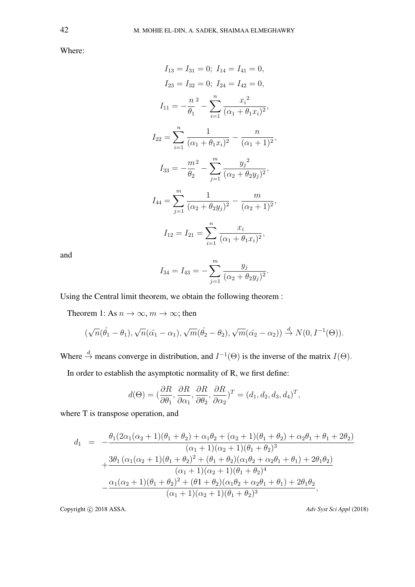Where:

$$
I_{13} = I_{31} = 0; I_{14} = I_{41} = 0,
$$
  
\n
$$
I_{23} = I_{32} = 0; I_{24} = I_{42} = 0,
$$
  
\n
$$
I_{11} = -\frac{n^2}{\theta_1} - \sum_{i=1}^n \frac{x_i^2}{(\alpha_1 + \theta_1 x_i)^2},
$$
  
\n
$$
I_{22} = \sum_{i=1}^n \frac{1}{(\alpha_1 + \theta_1 x_i)^2} - \frac{n}{(\alpha_1 + 1)^2},
$$
  
\n
$$
I_{33} = -\frac{m^2}{\theta_2} - \sum_{j=1}^m \frac{y_j^2}{(\alpha_2 + \theta_2 y_j)^2},
$$
  
\n
$$
I_{44} = \sum_{j=1}^m \frac{1}{(\alpha_2 + \theta_2 y_j)^2} - \frac{m}{(\alpha_2 + 1)^2},
$$
  
\n
$$
I_{12} = I_{21} = \sum_{i=1}^n \frac{x_i}{(\alpha_1 + \theta_1 x_i)^2},
$$

and

$$
I_{34} = I_{43} = -\sum_{j=1}^{m} \frac{y_j}{(\alpha_2 + \theta_2 y_j)^2}.
$$

Using the Central limit theorem, we obtain the following theorem :

Theorem 1: As  $n \to \infty$ ,  $m \to \infty$ ; then

$$
(\sqrt{n}(\hat{\theta}_1 - \theta_1), \sqrt{n}(\hat{\alpha_1} - \alpha_1), \sqrt{m}(\hat{\theta}_2 - \theta_2), \sqrt{m}(\hat{\alpha}_2 - \alpha_2)) \stackrel{d}{\rightarrow} N(0, I^{-1}(\Theta)).
$$

Where  $\stackrel{d}{\rightarrow}$  means converge in distribution, and  $I^{-1}(\Theta)$  is the inverse of the matrix  $I(\Theta)$ .

In order to establish the asymptotic normality of R, we first define:

$$
d(\Theta) = (\frac{\partial R}{\partial \theta_1}, \frac{\partial R}{\partial \alpha_1}, \frac{\partial R}{\partial \theta_2}, \frac{\partial R}{\partial \alpha_2})^T = (d_1, d_2, d_3, d_4)^T,
$$

where T is transpose operation, and

$$
d_1 = -\frac{\theta_1(2\alpha_1(\alpha_2+1)(\theta_1+\theta_2)+\alpha_1\theta_2+(\alpha_2+1)(\theta_1+\theta_2)+\alpha_2\theta_1+\theta_1+2\theta_2)}{(\alpha_1+1)(\alpha_2+1)(\theta_1+\theta_2)^3} + \frac{3\theta_1(\alpha_1(\alpha_2+1)(\theta_1+\theta_2)^2+(\theta_1+\theta_2)(\alpha_1\theta_2+\alpha_2\theta_1+\theta_1)+2\theta_1\theta_2)}{(\alpha_1+1)(\alpha_2+1)(\theta_1+\theta_2)^4} - \frac{\alpha_1(\alpha_2+1)(\theta_1+\theta_2)^2+(\theta_1+\theta_2)(\alpha_1\theta_2+\alpha_2\theta_1+\theta_1)+2\theta_1\theta_2}{(\alpha_1+1)(\alpha_2+1)(\theta_1+\theta_2)^3},
$$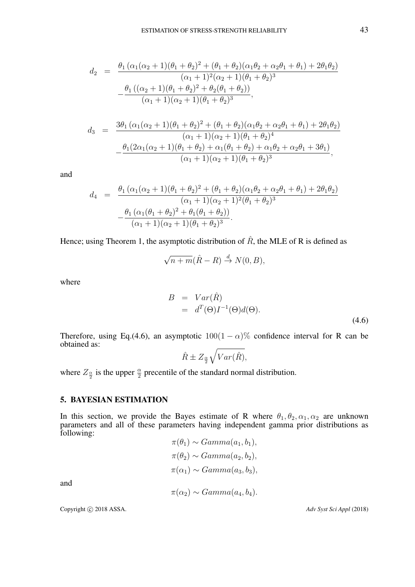$$
d_2 = \frac{\theta_1 (\alpha_1(\alpha_2 + 1)(\theta_1 + \theta_2)^2 + (\theta_1 + \theta_2)(\alpha_1\theta_2 + \alpha_2\theta_1 + \theta_1) + 2\theta_1\theta_2)}{(\alpha_1 + 1)^2(\alpha_2 + 1)(\theta_1 + \theta_2)^3}
$$

$$
-\frac{\theta_1 ((\alpha_2 + 1)(\theta_1 + \theta_2)^2 + \theta_2(\theta_1 + \theta_2))}{(\alpha_1 + 1)(\alpha_2 + 1)(\theta_1 + \theta_2)^3},
$$

$$
d_3 = \frac{3\theta_1(\alpha_1(\alpha_2+1)(\theta_1+\theta_2)^2 + (\theta_1+\theta_2)(\alpha_1\theta_2+\alpha_2\theta_1+\theta_1)+2\theta_1\theta_2)}{(\alpha_1+1)(\alpha_2+1)(\theta_1+\theta_2)^4}
$$

$$
-\frac{\theta_1(2\alpha_1(\alpha_2+1)(\theta_1+\theta_2)+\alpha_1(\theta_1+\theta_2)+\alpha_1\theta_2+\alpha_2\theta_1+3\theta_1)}{(\alpha_1+1)(\alpha_2+1)(\theta_1+\theta_2)^3},
$$

and

$$
d_4 = \frac{\theta_1 (\alpha_1(\alpha_2 + 1)(\theta_1 + \theta_2)^2 + (\theta_1 + \theta_2)(\alpha_1\theta_2 + \alpha_2\theta_1 + \theta_1) + 2\theta_1\theta_2)}{(\alpha_1 + 1)(\alpha_2 + 1)^2(\theta_1 + \theta_2)^3}
$$

$$
-\frac{\theta_1 (\alpha_1(\theta_1 + \theta_2)^2 + \theta_1(\theta_1 + \theta_2))}{(\alpha_1 + 1)(\alpha_2 + 1)(\theta_1 + \theta_2)^3}.
$$

Hence; using Theorem 1, the asymptotic distribution of  $\hat{R}$ , the MLE of R is defined as

$$
\sqrt{n+m}(\hat{R}-R) \stackrel{d}{\to} N(0,B),
$$

where

$$
B = Var(\hat{R})
$$
  
=  $d^T(\Theta)I^{-1}(\Theta)d(\Theta).$  (4.6)

Therefore, using Eq.(4.6), an asymptotic  $100(1 - \alpha)\%$  confidence interval for R can be obtained as:

$$
\hat{R} \pm Z_{\frac{\alpha}{2}} \sqrt{Var(\hat{R})},
$$

where  $Z_{\frac{\alpha}{2}}$  is the upper  $\frac{\alpha}{2}$  precentile of the standard normal distribution.

#### 5. BAYESIAN ESTIMATION

In this section, we provide the Bayes estimate of R where  $\theta_1, \theta_2, \alpha_1, \alpha_2$  are unknown parameters and all of these parameters having independent gamma prior distributions as following:

$$
\pi(\theta_1) \sim Gamma(a_1, b_1),
$$
  
\n
$$
\pi(\theta_2) \sim Gamma(a_2, b_2),
$$
  
\n
$$
\pi(\alpha_1) \sim Gamma(a_3, b_3),
$$
  
\n
$$
\pi(\alpha_2) \sim Gamma(a_4, b_4).
$$

and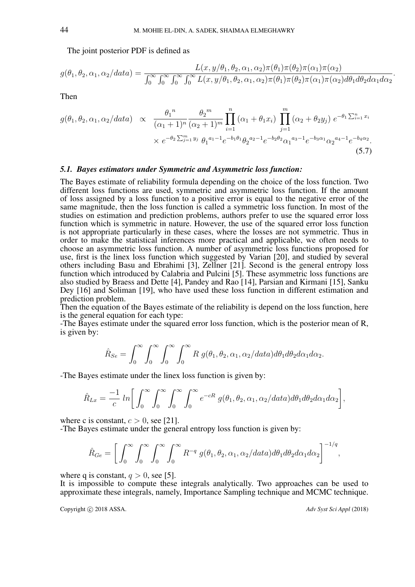The joint posterior PDF is defined as

$$
g(\theta_1, \theta_2, \alpha_1, \alpha_2/data) = \frac{L(x, y/\theta_1, \theta_2, \alpha_1, \alpha_2)\pi(\theta_1)\pi(\theta_2)\pi(\alpha_1)\pi(\alpha_2)}{\int_0^\infty \int_0^\infty \int_0^\infty \int_0^\infty L(x, y/\theta_1, \theta_2, \alpha_1, \alpha_2)\pi(\theta_1)\pi(\theta_2)\pi(\alpha_1)\pi(\alpha_2)d\theta_1 d\theta_2 d\alpha_1 d\alpha_2}.
$$

Then

$$
g(\theta_1, \theta_2, \alpha_1, \alpha_2/data) \propto \frac{\theta_1^n}{(\alpha_1 + 1)^n} \frac{\theta_2^m}{(\alpha_2 + 1)^m} \prod_{i=1}^n (\alpha_1 + \theta_1 x_i) \prod_{j=1}^m (\alpha_2 + \theta_2 y_j) e^{-\theta_1 \sum_{i=1}^n x_i} \times e^{-\theta_2 \sum_{j=1}^m y_j} \theta_1^{a_1 - 1} e^{-b_1 \theta_1} \theta_2^{a_2 - 1} e^{-b_2 \theta_2} \alpha_1^{a_3 - 1} e^{-b_3 \alpha_1} \alpha_2^{a_4 - 1} e^{-b_4 \alpha_2}.
$$
\n(5.7)

## *5.1. Bayes estimators under Symmetric and Asymmetric loss function:*

The Bayes estimate of reliability formula depending on the choice of the loss function. Two different loss functions are used, symmetric and asymmetric loss function. If the amount of loss assigned by a loss function to a positive error is equal to the negative error of the same magnitude, then the loss function is called a symmetric loss function. In most of the studies on estimation and prediction problems, authors prefer to use the squared error loss function which is symmetric in nature. However, the use of the squared error loss function is not appropriate particularly in these cases, where the losses are not symmetric. Thus in order to make the statistical inferences more practical and applicable, we often needs to choose an asymmetric loss function. A number of asymmetric loss functions proposed for use, first is the linex loss function which suggested by Varian [20], and studied by several others including Basu and Ebrahimi [3], Zellner [21]. Second is the general entropy loss function which introduced by Calabria and Pulcini [5]. These asymmetric loss functions are also studied by Braess and Dette [4], Pandey and Rao [14], Parsian and Kirmani [15], Sanku Dey [16] and Soliman [19], who have used these loss function in different estimation and prediction problem.

Then the equation of the Bayes estimate of the reliability is depend on the loss function, here is the general equation for each type:

-The Bayes estimate under the squared error loss function, which is the posterior mean of R, is given by:

$$
\hat{R}_{Se} = \int_0^\infty \int_0^\infty \int_0^\infty \int_0^\infty R g(\theta_1, \theta_2, \alpha_1, \alpha_2 / data) d\theta_1 d\theta_2 d\alpha_1 d\alpha_2.
$$

-The Bayes estimate under the linex loss function is given by:

$$
\hat{R}_{Lx} = \frac{-1}{c} \ln \bigg[ \int_0^\infty \int_0^\infty \int_0^\infty \int_0^\infty e^{-cR} g(\theta_1, \theta_2, \alpha_1, \alpha_2 / data) d\theta_1 d\theta_2 d\alpha_1 d\alpha_2 \bigg],
$$

where c is constant,  $c > 0$ , see [21].

-The Bayes estimate under the general entropy loss function is given by:

$$
\hat{R}_{Ge} = \left[ \int_0^\infty \int_0^\infty \int_0^\infty \int_0^\infty R^{-q} g(\theta_1, \theta_2, \alpha_1, \alpha_2 / data) d\theta_1 d\theta_2 d\alpha_1 d\alpha_2 \right]^{-1/q},
$$

where q is constant,  $q > 0$ , see [5].

It is impossible to compute these integrals analytically. Two approaches can be used to approximate these integrals, namely, Importance Sampling technique and MCMC technique.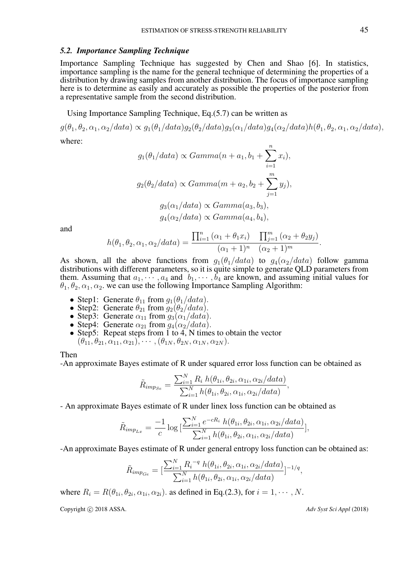#### *5.2. Importance Sampling Technique*

Importance Sampling Technique has suggested by Chen and Shao [6]. In statistics, importance sampling is the name for the general technique of determining the properties of a distribution by drawing samples from another distribution. The focus of importance sampling here is to determine as easily and accurately as possible the properties of the posterior from a representative sample from the second distribution.

Using Importance Sampling Technique, Eq.(5.7) can be written as

 $g(\theta_1, \theta_2, \alpha_1, \alpha_2/data) \propto g_1(\theta_1/data)g_2(\theta_2/data)g_3(\alpha_1/data)g_4(\alpha_2/data)h(\theta_1, \theta_2, \alpha_1, \alpha_2/data),$ where:

$$
g_1(\theta_1/data) \propto Gamma(n+a_1, b_1 + \sum_{i=1}^n x_i),
$$
  
\n
$$
g_2(\theta_2/data) \propto Gamma(m+a_2, b_2 + \sum_{j=1}^m y_j),
$$
  
\n
$$
g_3(\alpha_1/data) \propto Gamma(a_3, b_3),
$$
  
\n
$$
g_4(\alpha_2/data) \propto Gamma(a_4, b_4),
$$

and

$$
h(\theta_1, \theta_2, \alpha_1, \alpha_2 / data) = \frac{\prod_{i=1}^n (\alpha_1 + \theta_1 x_i) \prod_{j=1}^m (\alpha_2 + \theta_2 y_j)}{(\alpha_1 + 1)^n (\alpha_2 + 1)^m}.
$$

As shown, all the above functions from  $g_1(\theta_1/data)$  to  $g_4(\alpha_2/data)$  follow gamma distributions with different parameters, so it is quite simple to generate QLD parameters from them. Assuming that  $a_1, \dots, a_4$  and  $b_1, \dots, b_4$  are known, and assuming initial values for  $\theta_1, \theta_2, \alpha_1, \alpha_2$ , we can use the following Importance Sampling Algorithm:

- Step1: Generate  $\theta_{11}$  from  $g_1(\theta_1/data)$ .
- Step2: Generate  $\theta_{21}$  from  $g_2(\theta_2/data)$ .
- Step3: Generate  $\alpha_{11}$  from  $q_3(\alpha_1/data)$ .
- Step4: Generate  $\alpha_{21}$  from  $g_4(\alpha_2/data)$ .
- Step5: Repeat steps from  $\overline{1}$  to  $\overline{4}$ , N times to obtain the vector  $(\theta_{11}, \theta_{21}, \alpha_{11}, \alpha_{21}), \cdots, (\theta_{1N}, \theta_{2N}, \alpha_{1N}, \alpha_{2N}).$

#### Then

-An approximate Bayes estimate of R under squared error loss function can be obtained as

$$
\tilde{R}_{imp_{Se}} = \frac{\sum_{i=1}^{N} R_i h(\theta_{1i}, \theta_{2i}, \alpha_{1i}, \alpha_{2i}/data)}{\sum_{i=1}^{N} h(\theta_{1i}, \theta_{2i}, \alpha_{1i}, \alpha_{2i}/data)},
$$

- An approximate Bayes estimate of R under linex loss function can be obtained as

$$
\tilde{R}_{imp_{Lx}} = \frac{-1}{c} \log \left[ \frac{\sum_{i=1}^{N} e^{-cR_i} h(\theta_{1i}, \theta_{2i}, \alpha_{1i}, \alpha_{2i}/data)}{\sum_{i=1}^{N} h(\theta_{1i}, \theta_{2i}, \alpha_{1i}, \alpha_{2i}/data)} \right],
$$

-An approximate Bayes estimate of R under general entropy loss function can be obtained as:

$$
\tilde{R}_{imp_{Ge}} = \left[\frac{\sum_{i=1}^{N} R_i^{-q} h(\theta_{1i}, \theta_{2i}, \alpha_{1i}, \alpha_{2i}/data)}{\sum_{i=1}^{N} h(\theta_{1i}, \theta_{2i}, \alpha_{1i}, \alpha_{2i}/data)}\right]^{-1/q},
$$

where  $R_i = R(\theta_{1i}, \theta_{2i}, \alpha_{1i}, \alpha_{2i})$ . as defined in Eq.(2.3), for  $i = 1, \cdots, N$ .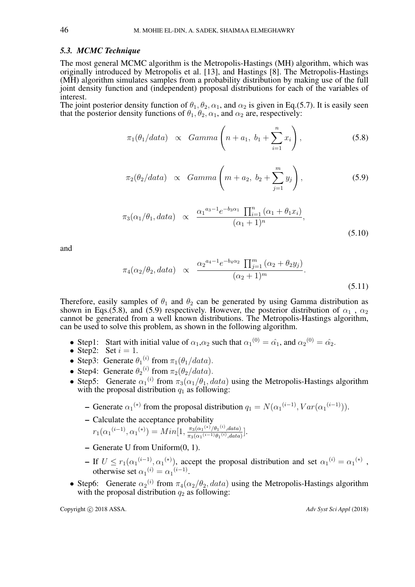#### *5.3. MCMC Technique*

The most general MCMC algorithm is the Metropolis-Hastings (MH) algorithm, which was originally introduced by Metropolis et al. [13], and Hastings [8]. The Metropolis-Hastings (MH) algorithm simulates samples from a probability distribution by making use of the full joint density function and (independent) proposal distributions for each of the variables of interest.

The joint posterior density function of  $\theta_1, \theta_2, \alpha_1$ , and  $\alpha_2$  is given in Eq.(5.7). It is easily seen that the posterior density functions of  $\theta_1, \theta_2, \alpha_1$ , and  $\alpha_2$  are, respectively:

$$
\pi_1(\theta_1/data) \propto Gamma\left(n+a_1, b_1+\sum_{i=1}^n x_i\right),\tag{5.8}
$$

$$
\pi_2(\theta_2/data) \propto Gamma\left(m+a_2, b_2+\sum_{j=1}^m y_j\right),\tag{5.9}
$$

$$
\pi_3(\alpha_1/\theta_1, data) \propto \frac{\alpha_1^{a_3 - 1} e^{-b_3 \alpha_1} \prod_{i=1}^n (\alpha_1 + \theta_1 x_i)}{(\alpha_1 + 1)^n},
$$
\n(5.10)

and

$$
\pi_4(\alpha_2/\theta_2, data) \propto \frac{\alpha_2^{a_4-1} e^{-b_4 \alpha_2} \prod_{j=1}^m (\alpha_2 + \theta_2 y_j)}{(\alpha_2 + 1)^m}.
$$
\n(5.11)

Therefore, easily samples of  $\theta_1$  and  $\theta_2$  can be generated by using Gamma distribution as shown in Eqs.(5.8), and (5.9) respectively. However, the posterior distribution of  $\alpha_1$ ,  $\alpha_2$ cannot be generated from a well known distributions. The Metropolis-Hastings algorithm, can be used to solve this problem, as shown in the following algorithm.

- Step1: Start with initial value of  $\alpha_1, \alpha_2$  such that  $\alpha_1^{(0)} = \hat{\alpha_1}$ , and  $\alpha_2^{(0)} = \hat{\alpha_2}$ .
- Step2: Set  $i = 1$ .
- Step3: Generate  $\theta_1^{(i)}$  from  $\pi_1(\theta_1/data)$ .
- Step4: Generate  $\theta_2^{(i)}$  from  $\pi_2(\theta_2/data)$ .
- Step5: Generate  $\alpha_1^{(i)}$  from  $\pi_3(\alpha_1/\theta_1, data)$  using the Metropolis-Hastings algorithm with the proposal distribution  $q_1$  as following:
	- Generate  $\alpha_1^{(*)}$  from the proposal distribution  $q_1 = N(\alpha_1^{(i-1)}, Var(\alpha_1^{(i-1)})).$
	- Calculate the acceptance probability  $r_1(\alpha_1^{(i-1)}, \alpha_1^{(*)}) = Min[1, \frac{\pi_3(\alpha_1^{(*)}/\theta_1^{(i)}, data)}{\pi_2(\alpha_1^{(i-1)}\theta_1^{(i)}, data)}]$  $\frac{\pi_3(\alpha_1^{(4)})/\theta_1^{(4)},\text{data})}{\pi_3(\alpha_1^{(i-1)}\theta_1^{(i)},\text{data})}\Big].$
	- Generate U from Uniform(0, 1).
	- If  $U \le r_1(\alpha_1^{(i-1)}, \alpha_1^{(*)})$ , accept the proposal distribution and set  $\alpha_1^{(i)} = \alpha_1^{(*)}$ , otherwise set  $\alpha_1^{(i)} = \alpha_1^{(i-1)}$ .
- Step6: Generate  $\alpha_2^{(i)}$  from  $\pi_4(\alpha_2/\theta_2, data)$  using the Metropolis-Hastings algorithm with the proposal distribution  $q_2$  as following: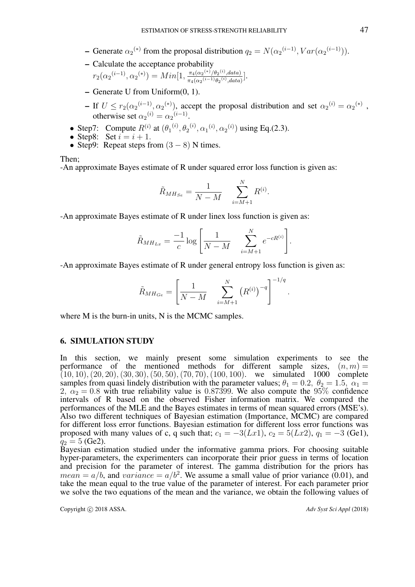- Generate  $\alpha_2^{(*)}$  from the proposal distribution  $q_2 = N(\alpha_2^{(i-1)}, Var(\alpha_2^{(i-1)})).$
- Calculate the acceptance probability  $r_2(\alpha_2^{(i-1)}, \alpha_2^{(*)}) = Min[1, \frac{\pi_4(\alpha_2^{(*)}/\theta_2^{(i)}, data)}{\pi_4(\alpha_2^{(i-1)}\theta_2^{(i)}, data)}]$  $\frac{\pi_4(\alpha_2^{(4)}/\theta_2^{(4)},data)}{\pi_4(\alpha_2^{(i-1)}\theta_2^{(i)},data)}$ .
- $-$  Generate U from Uniform $(0, 1)$ .
- If  $U \le r_2(\alpha_2^{(i-1)}, \alpha_2^{(*)})$ , accept the proposal distribution and set  $\alpha_2^{(i)} = \alpha_2^{(*)}$ , otherwise set  $\alpha_2^{(i)} = \alpha_2^{(i-1)}$ .
- Step7: Compute  $R^{(i)}$  at  $(\theta_1^{(i)}, \theta_2^{(i)}, \alpha_1^{(i)}, \alpha_2^{(i)})$  using Eq.(2.3).
- Step8: Set  $i = i + 1$ .
- Step9: Repeat steps from  $(3 8)$  N times.

Then;

-An approximate Bayes estimate of R under squared error loss function is given as:

$$
\tilde{R}_{MHse} = \frac{1}{N - M} \sum_{i=M+1}^{N} R^{(i)}.
$$

-An approximate Bayes estimate of R under linex loss function is given as:

$$
\tilde{R}_{MH_{Lx}} = \frac{-1}{c} \log \left[ \frac{1}{N-M} \quad \sum_{i=M+1}^{N} e^{-cR^{(i)}} \right].
$$

-An approximate Bayes estimate of R under general entropy loss function is given as:

$$
\tilde{R}_{MH_{Ge}} = \left[ \frac{1}{N - M} \sum_{i=M+1}^{N} (R^{(i)})^{-q} \right]^{-1/q}.
$$

where M is the burn-in units, N is the MCMC samples.

# 6. SIMULATION STUDY

In this section, we mainly present some simulation experiments to see the performance of the mentioned methods for different sample sizes,  $(n, m)$  =  $(10, 10), (20, 20), (30, 30), (50, 50), (70, 70), (100, 100)$ . we simulated 1000 complete samples from quasi lindely distribution with the parameter values;  $\theta_1 = 0.2$ ,  $\theta_2 = 1.5$ ,  $\alpha_1 =$ 2,  $\alpha_2 = 0.8$  with true reliability value is 0.87399. We also compute the 95% confidence intervals of R based on the observed Fisher information matrix. We compared the performances of the MLE and the Bayes estimates in terms of mean squared errors (MSE's). Also two different techniques of Bayesian estimation (Importance, MCMC) are compared for different loss error functions. Bayesian estimation for different loss error functions was proposed with many values of c, q such that;  $c_1 = -3(Lx1)$ ,  $c_2 = 5(Lx2)$ ,  $q_1 = -3$  (Ge1),  $q_2 = 5$  (Ge2).

Bayesian estimation studied under the informative gamma priors. For choosing suitable hyper-parameters, the experimenters can incorporate their prior guess in terms of location and precision for the parameter of interest. The gamma distribution for the priors has  $mean = a/b$ , and  $variance = a/b^2$ . We assume a small value of prior variance (0.01), and take the mean equal to the true value of the parameter of interest. For each parameter prior we solve the two equations of the mean and the variance, we obtain the following values of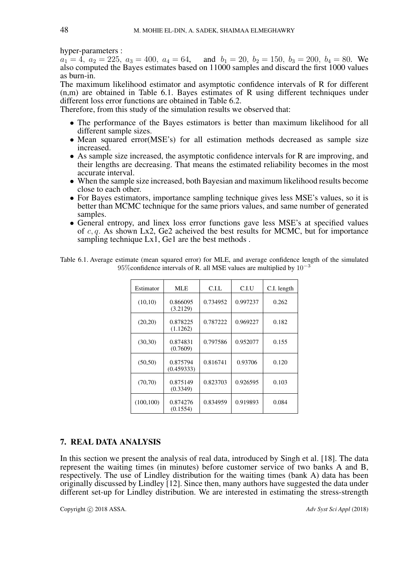hyper-parameters :

 $a_1 = 4, a_2 = 225, a_3 = 400, a_4 = 64, \text{ and } b_1 = 20, b_2 = 150, b_3 = 200, b_4 = 80.$  We also computed the Bayes estimates based on  $11000$  samples and discard the first 1000 values as burn-in.

The maximum likelihood estimator and asymptotic confidence intervals of R for different (n,m) are obtained in Table 6.1. Bayes estimates of R using different techniques under different loss error functions are obtained in Table 6.2.

Therefore, from this study of the simulation results we observed that:

- The performance of the Bayes estimators is better than maximum likelihood for all different sample sizes.
- Mean squared error(MSE's) for all estimation methods decreased as sample size increased.
- As sample size increased, the asymptotic confidence intervals for R are improving, and their lengths are decreasing. That means the estimated reliability becomes in the most accurate interval.
- When the sample size increased, both Bayesian and maximum likelihood results become close to each other.
- For Bayes estimators, importance sampling technique gives less MSE's values, so it is better than MCMC technique for the same priors values, and same number of generated samples.
- General entropy, and linex loss error functions gave less MSE's at specified values of  $c, q$ . As shown Lx2, Ge2 acheived the best results for MCMC, but for importance sampling technique Lx1, Ge1 are the best methods.

| Estimator  | MLE                    | C.I.L    | C.I.U    | C.I. length |
|------------|------------------------|----------|----------|-------------|
| (10,10)    | 0.866095<br>(3.2129)   | 0.734952 | 0.997237 | 0.262       |
| (20,20)    | 0.878225<br>(1.1262)   | 0.787222 | 0.969227 | 0.182       |
| (30, 30)   | 0.874831<br>(0.7609)   | 0.797586 | 0.952077 | 0.155       |
| (50, 50)   | 0.875794<br>(0.459333) | 0.816741 | 0.93706  | 0.120       |
| (70, 70)   | 0.875149<br>(0.3349)   | 0.823703 | 0.926595 | 0.103       |
| (100, 100) | 0.874276<br>(0.1554)   | 0.834959 | 0.919893 | 0.084       |

Table 6.1. Average estimate (mean squared error) for MLE, and average confidence length of the simulated 95% confidence intervals of R. all MSE values are multiplied by  $10^{-3}$ 

## 7. REAL DATA ANALYSIS

In this section we present the analysis of real data, introduced by Singh et al. [18]. The data represent the waiting times (in minutes) before customer service of two banks A and B, respectively. The use of Lindley distribution for the waiting times (bank A) data has been originally discussed by Lindley [12]. Since then, many authors have suggested the data under different set-up for Lindley distribution. We are interested in estimating the stress-strength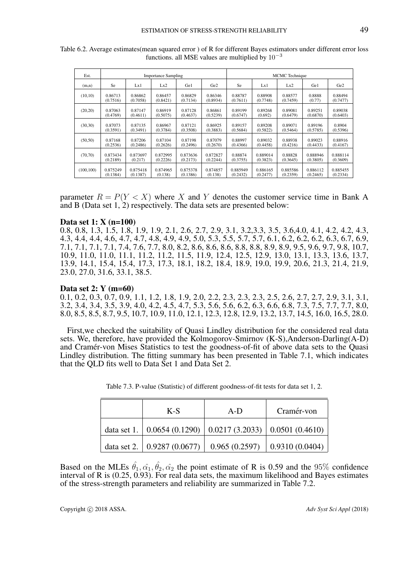| Est.       | <b>Importance Sampling</b> |          |          | <b>MCMC</b> Technique |                 |          |          |          |          |                 |
|------------|----------------------------|----------|----------|-----------------------|-----------------|----------|----------|----------|----------|-----------------|
| (m,n)      | Se                         | Lx1      | Lx2      | Ge1                   | Ge <sub>2</sub> | Se       | Lx1      | Lx2      | Ge1      | Ge <sub>2</sub> |
| (10,10)    | 0.86713                    | 0.86862  | 0.86457  | 0.86829               | 0.86346         | 0.88787  | 0.88908  | 0.88577  | 0.8888   | 0.88494         |
|            | (0.7516)                   | (0.7058) | (0.8421) | (0.7134)              | (0.8934)        | (0.7611) | (0.7748) | (0.7459) | (0.77)   | (0.7477)        |
| (20,20)    | 0.87063                    | 0.87147  | 0.86919  | 0.87128               | 0.86861         | 0.89199  | 0.89268  | 0.89081  | 0.89251  | 0.89038         |
|            | (0.4769)                   | (0.4611) | (0.5075) | (0.4637)              | (0.5239)        | (0.6747) | (0.692)  | (0.6479) | (0.6870) | (0.6403)        |
| (30,30)    | 0.87073                    | 0.87135  | 0.86967  | 0.87121               | 0.86925         | 0.89157  | 0.89208  | 0.89071  | 0.89196  | 0.8904          |
|            | (0.3591)                   | (0.3491) | (0.3784) | (0.3508)              | (0.3883)        | (0.5684) | (0.5822) | (0.5464) | (0.5785) | (0.5396)        |
| (50, 50)   | 0.87168                    | 0.87206  | 0.87104  | 0.87198               | 0.87079         | 0.88997  | 0.89032  | 0.88938  | 0.89023  | 0.88916         |
|            | (0.2536)                   | (0.2486) | (0.2626) | (0.2496)              | (0.2670)        | (0.4366) | (0.4458) | (0.4216) | (0.4433) | (0.4167)        |
| (70, 70)   | 0.873434                   | 0.873697 | 0.872995 | 0.873636              | 0.872827        | 0.88874  | 0.889014 | 0.88828  | 0.888946 | 0.888114        |
|            | (0.2189)                   | (0.217)  | (0.2226) | (0.2173)              | (0.2244)        | (0.3755) | (0.3823) | (0.3645) | (0.3805) | (0.3609)        |
| (100, 100) | 0.875249                   | 0.875418 | 0.874965 | 0.875378              | 0.874857        | 0.885949 | 0.886165 | 0.885586 | 0.886112 | 0.885455        |
|            | (0.1384)                   | (0.1387) | (0.138)  | (0.1386)              | (0.138)         | (0.2432) | (0.2477) | (0.2359) | (0.2465) | (0.2334)        |

Table 6.2. Average estimates(mean squared error ) of R for different Bayes estimators under different error loss functions. all MSE values are multiplied by  $10^{-3}$ 

parameter  $R = P(Y \leq X)$  where X and Y denotes the customer service time in Bank A and B (Data set 1, 2) respectively. The data sets are presented below:

#### Data set 1: X (n=100)

0.8, 0.8, 1.3, 1.5, 1.8, 1.9, 1.9, 2.1, 2.6, 2.7, 2.9, 3.1, 3.2,3.3, 3.5, 3.6,4.0, 4.1, 4.2, 4.2, 4.3, 4.3, 4.4, 4.4, 4.6, 4.7, 4.7, 4.8, 4.9, 4.9, 5.0, 5.3, 5.5, 5.7, 5.7, 6.1, 6.2, 6.2, 6.2, 6.3, 6.7, 6.9, 7.1, 7.1, 7.1, 7.1, 7.4, 7.6, 7.7, 8.0, 8.2, 8.6, 8.6, 8.6, 8.8, 8.8, 8.9, 8.9, 9.5, 9.6, 9.7, 9.8, 10.7, 10.9, 11.0, 11.0, 11.1, 11.2, 11.2, 11.5, 11.9, 12.4, 12.5, 12.9, 13.0, 13.1, 13.3, 13.6, 13.7, 13.9, 14.1, 15.4, 15.4, 17.3, 17.3, 18.1, 18.2, 18.4, 18.9, 19.0, 19.9, 20.6, 21.3, 21.4, 21.9, 23.0, 27.0, 31.6, 33.1, 38.5.

#### Data set 2: Y (m=60)

0.1, 0.2, 0.3, 0.7, 0.9, 1.1, 1.2, 1.8, 1.9, 2.0, 2.2, 2.3, 2.3, 2.3, 2.5, 2.6, 2.7, 2.7, 2.9, 3.1, 3.1, 3.2, 3.4, 3.4, 3.5, 3.9, 4.0, 4.2, 4.5, 4.7, 5.3, 5.6, 5.6, 6.2, 6.3, 6.6, 6.8, 7.3, 7.5, 7.7, 7.7, 8.0, 8.0, 8.5, 8.5, 8.7, 9.5, 10.7, 10.9, 11.0, 12.1, 12.3, 12.8, 12.9, 13.2, 13.7, 14.5, 16.0, 16.5, 28.0.

First,we checked the suitability of Quasi Lindley distribution for the considered real data sets. We, therefore, have provided the Kolmogorov-Smirnov (K-S),Anderson-Darling(A-D) and Cramer-von Mises Statistics to test the goodness-of-fit of above data sets to the Quasi ´ Lindley distribution. The fitting summary has been presented in Table 7.1, which indicates that the QLD fits well to Data Set 1 and Data Set 2.

| $K-S$                                                                | $A-D$         | Cramér-von              |  |
|----------------------------------------------------------------------|---------------|-------------------------|--|
| data set 1.   $0.0654(0.1290)$   $0.0217(3.2033)$   $0.0501(0.4610)$ |               |                         |  |
| data set 2.   $0.9287(0.0677)$                                       | 0.965(0.2597) | $\vert$ 0.9310 (0.0404) |  |

Table 7.3. P-value (Statistic) of different goodness-of-fit tests for data set 1, 2.

Based on the MLEs  $\hat{\theta}_1, \hat{\alpha}_1, \hat{\theta}_2, \hat{\alpha}_2$  the point estimate of R is 0.59 and the 95% confidence interval of R is (0.25, 0.93). For real data sets, the maximum likelihood and Bayes estimates of the stress-strength parameters and reliability are summarized in Table 7.2.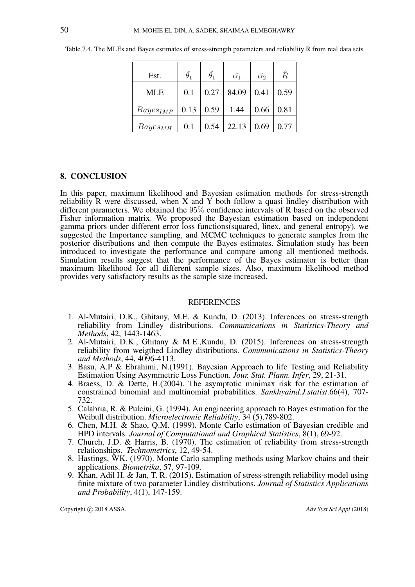| Est.          | $\hat{\theta_1}$ | $\theta_1$ | $\hat{\alpha_1}$ | $\hat{\alpha_2}$ | $\hat{R}$ |
|---------------|------------------|------------|------------------|------------------|-----------|
| MLE           | 0.1              | 0.27       | 84.09            | 0.41             | 0.59      |
| $Bayes_{IMP}$ | 0.13             | 0.59       | 1.44             | 0.66             | 0.81      |
| $Bayes_{MH}$  | 0.1              | 0.54       | 22.13            | 0.69             | 0.77      |

Table 7.4. The MLEs and Bayes estimates of stress-strength parameters and reliability R from real data sets

#### 8. CONCLUSION

In this paper, maximum likelihood and Bayesian estimation methods for stress-strength reliability  $\hat{R}$  were discussed, when  $X$  and  $Y$  both follow a quasi lindley distribution with different parameters. We obtained the 95% confidence intervals of R based on the observed Fisher information matrix. We proposed the Bayesian estimation based on independent gamma priors under different error loss functions(squared, linex, and general entropy). we suggested the Importance sampling, and MCMC techniques to generate samples from the posterior distributions and then compute the Bayes estimates. Simulation study has been introduced to investigate the performance and compare among all mentioned methods. Simulation results suggest that the performance of the Bayes estimator is better than maximum likelihood for all different sample sizes. Also, maximum likelihood method provides very satisfactory results as the sample size increased.

### **REFERENCES**

- 1. Al-Mutairi, D.K., Ghitany, M.E. & Kundu, D. (2013). Inferences on stress-strength reliability from Lindley distributions. *Communications in Statistics-Theory and Methods*, 42, 1443-1463.
- 2. Al-Mutairi, D.K., Ghitany & M.E.,Kundu, D. (2015). Inferences on stress-strength reliability from weigthed Lindley distributions. *Communications in Statistics-Theory and Methods*, 44, 4096-4113.
- 3. Basu, A.P & Ebrahimi, N.(1991). Bayesian Approach to life Testing and Reliability Estimation Using Asymmetric Loss Function. *Jour. Stat. Plann. Infer*, 29, 21-31.
- 4. Braess, D. & Dette, H.(2004). The asymptotic minimax risk for the estimation of constrained binomial and multinomial probabilities. *Sankhyaind.J.statist*.66(4), 707- 732.
- 5. Calabria, R. & Pulcini, G. (1994). An engineering approach to Bayes estimation for the Weibull distribution. *Microelectronic Reliability*, 34 (5),789-802.
- 6. Chen, M.H. & Shao, Q.M. (1999). Monte Carlo estimation of Bayesian credible and HPD intervals. *Journal of Computational and Graphical Statistics*, 8(1), 69-92.
- 7. Church, J.D. & Harris, B. (1970). The estimation of reliability from stress-strength relationships. *Technometrics*, 12, 49-54.
- 8. Hastings, WK. (1970). Monte Carlo sampling methods using Markov chains and their applications. *Biometrika*, 57, 97-109.
- 9. Khan, Adil H. & Jan, T. R. (2015). Estimation of stress-strength reliability model using finite mixture of two parameter Lindley distributions. *Journal of Statistics Applications and Probability*, 4(1), 147-159.